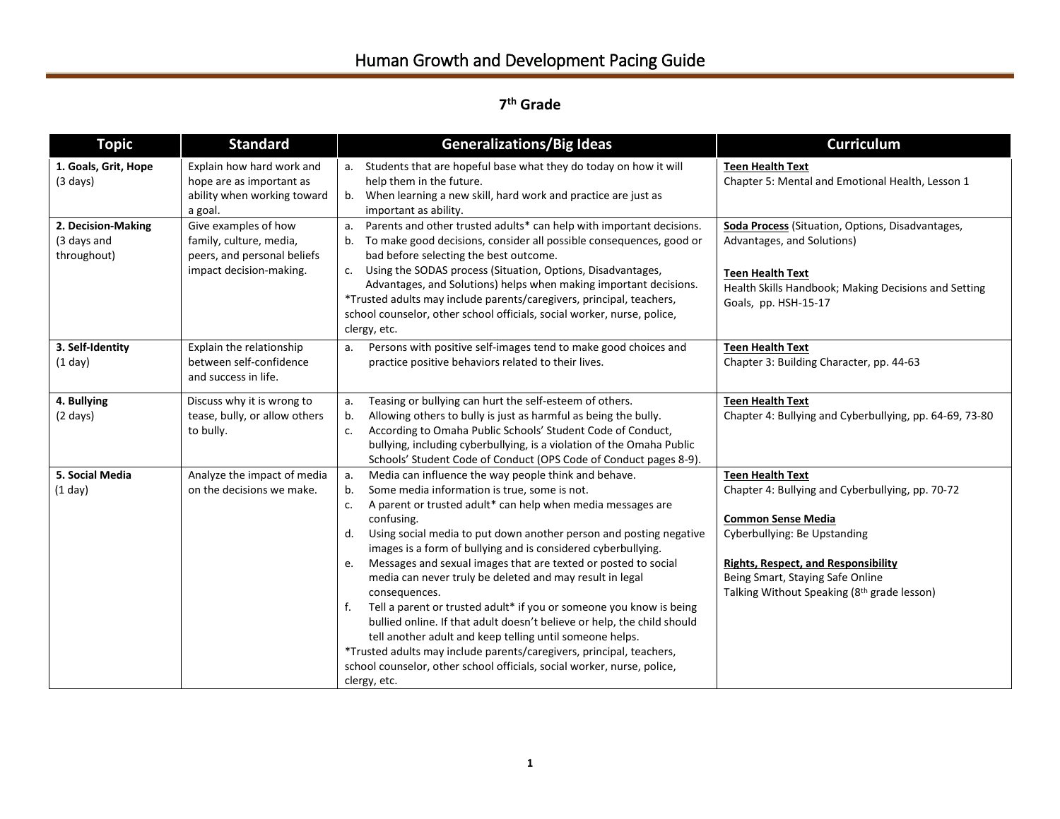## **7 th Grade**

| <b>Topic</b>                                     | <b>Standard</b>                                                                                           | <b>Generalizations/Big Ideas</b>                                                                                                                                                                                                                                                                                                                                                                                                                                                                                                                                                                                                                                                                                                                                                                                                                                                             | <b>Curriculum</b>                                                                                                                                                                                                                                                         |
|--------------------------------------------------|-----------------------------------------------------------------------------------------------------------|----------------------------------------------------------------------------------------------------------------------------------------------------------------------------------------------------------------------------------------------------------------------------------------------------------------------------------------------------------------------------------------------------------------------------------------------------------------------------------------------------------------------------------------------------------------------------------------------------------------------------------------------------------------------------------------------------------------------------------------------------------------------------------------------------------------------------------------------------------------------------------------------|---------------------------------------------------------------------------------------------------------------------------------------------------------------------------------------------------------------------------------------------------------------------------|
| 1. Goals, Grit, Hope<br>$(3 \text{ days})$       | Explain how hard work and<br>hope are as important as<br>ability when working toward<br>a goal.           | a. Students that are hopeful base what they do today on how it will<br>help them in the future.<br>When learning a new skill, hard work and practice are just as<br>b.<br>important as ability.                                                                                                                                                                                                                                                                                                                                                                                                                                                                                                                                                                                                                                                                                              | <b>Teen Health Text</b><br>Chapter 5: Mental and Emotional Health, Lesson 1                                                                                                                                                                                               |
| 2. Decision-Making<br>(3 days and<br>throughout) | Give examples of how<br>family, culture, media,<br>peers, and personal beliefs<br>impact decision-making. | Parents and other trusted adults* can help with important decisions.<br>a.<br>To make good decisions, consider all possible consequences, good or<br>bad before selecting the best outcome.<br>c. Using the SODAS process (Situation, Options, Disadvantages,<br>Advantages, and Solutions) helps when making important decisions.<br>*Trusted adults may include parents/caregivers, principal, teachers,<br>school counselor, other school officials, social worker, nurse, police,<br>clergy, etc.                                                                                                                                                                                                                                                                                                                                                                                        | Soda Process (Situation, Options, Disadvantages,<br>Advantages, and Solutions)<br><b>Teen Health Text</b><br>Health Skills Handbook; Making Decisions and Setting<br>Goals, pp. HSH-15-17                                                                                 |
| 3. Self-Identity<br>(1 day)                      | Explain the relationship<br>between self-confidence<br>and success in life.                               | Persons with positive self-images tend to make good choices and<br>a.<br>practice positive behaviors related to their lives.                                                                                                                                                                                                                                                                                                                                                                                                                                                                                                                                                                                                                                                                                                                                                                 | <b>Teen Health Text</b><br>Chapter 3: Building Character, pp. 44-63                                                                                                                                                                                                       |
| 4. Bullying<br>$(2 \text{ days})$                | Discuss why it is wrong to<br>tease, bully, or allow others<br>to bully.                                  | Teasing or bullying can hurt the self-esteem of others.<br>a.<br>Allowing others to bully is just as harmful as being the bully.<br>b.<br>According to Omaha Public Schools' Student Code of Conduct,<br>c.<br>bullying, including cyberbullying, is a violation of the Omaha Public<br>Schools' Student Code of Conduct (OPS Code of Conduct pages 8-9).                                                                                                                                                                                                                                                                                                                                                                                                                                                                                                                                    | <b>Teen Health Text</b><br>Chapter 4: Bullying and Cyberbullying, pp. 64-69, 73-80                                                                                                                                                                                        |
| 5. Social Media<br>(1 day)                       | Analyze the impact of media<br>on the decisions we make.                                                  | Media can influence the way people think and behave.<br>а.<br>Some media information is true, some is not.<br>b.<br>A parent or trusted adult* can help when media messages are<br>c.<br>confusing.<br>Using social media to put down another person and posting negative<br>d.<br>images is a form of bullying and is considered cyberbullying.<br>Messages and sexual images that are texted or posted to social<br>e.<br>media can never truly be deleted and may result in legal<br>consequences.<br>Tell a parent or trusted adult* if you or someone you know is being<br>f.<br>bullied online. If that adult doesn't believe or help, the child should<br>tell another adult and keep telling until someone helps.<br>*Trusted adults may include parents/caregivers, principal, teachers,<br>school counselor, other school officials, social worker, nurse, police,<br>clergy, etc. | <b>Teen Health Text</b><br>Chapter 4: Bullying and Cyberbullying, pp. 70-72<br><b>Common Sense Media</b><br>Cyberbullying: Be Upstanding<br><b>Rights, Respect, and Responsibility</b><br>Being Smart, Staying Safe Online<br>Talking Without Speaking (8th grade lesson) |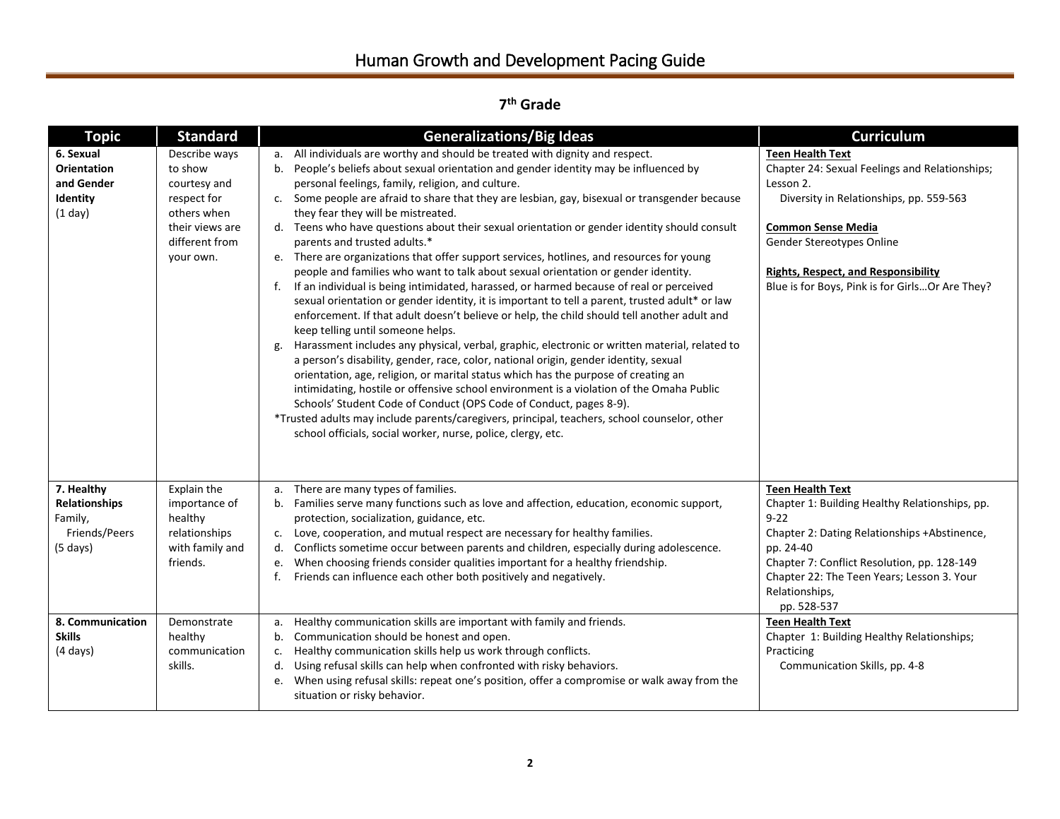## **7 th Grade**

| <b>Topic</b>                                                                                      | <b>Standard</b>                                                                                                          | <b>Generalizations/Big Ideas</b>                                                                                                                                                                                                                                                                                                                                                                                                                                                                                                                                                                                                                                                                                                                                                                                                                                                                                                                                                                                                                                                                                                                                                                                                                                                                                                                                                                                                                                                                                                                                                                                                                            | <b>Curriculum</b>                                                                                                                                                                                                                                                                                           |
|---------------------------------------------------------------------------------------------------|--------------------------------------------------------------------------------------------------------------------------|-------------------------------------------------------------------------------------------------------------------------------------------------------------------------------------------------------------------------------------------------------------------------------------------------------------------------------------------------------------------------------------------------------------------------------------------------------------------------------------------------------------------------------------------------------------------------------------------------------------------------------------------------------------------------------------------------------------------------------------------------------------------------------------------------------------------------------------------------------------------------------------------------------------------------------------------------------------------------------------------------------------------------------------------------------------------------------------------------------------------------------------------------------------------------------------------------------------------------------------------------------------------------------------------------------------------------------------------------------------------------------------------------------------------------------------------------------------------------------------------------------------------------------------------------------------------------------------------------------------------------------------------------------------|-------------------------------------------------------------------------------------------------------------------------------------------------------------------------------------------------------------------------------------------------------------------------------------------------------------|
| 6. Sexual<br><b>Orientation</b><br>and Gender<br>Identity<br>(1 day)                              | Describe ways<br>to show<br>courtesy and<br>respect for<br>others when<br>their views are<br>different from<br>your own. | a. All individuals are worthy and should be treated with dignity and respect.<br>People's beliefs about sexual orientation and gender identity may be influenced by<br>$b_{1}$<br>personal feelings, family, religion, and culture.<br>c. Some people are afraid to share that they are lesbian, gay, bisexual or transgender because<br>they fear they will be mistreated.<br>d. Teens who have questions about their sexual orientation or gender identity should consult<br>parents and trusted adults.*<br>e. There are organizations that offer support services, hotlines, and resources for young<br>people and families who want to talk about sexual orientation or gender identity.<br>If an individual is being intimidated, harassed, or harmed because of real or perceived<br>f.<br>sexual orientation or gender identity, it is important to tell a parent, trusted adult* or law<br>enforcement. If that adult doesn't believe or help, the child should tell another adult and<br>keep telling until someone helps.<br>Harassment includes any physical, verbal, graphic, electronic or written material, related to<br>g.<br>a person's disability, gender, race, color, national origin, gender identity, sexual<br>orientation, age, religion, or marital status which has the purpose of creating an<br>intimidating, hostile or offensive school environment is a violation of the Omaha Public<br>Schools' Student Code of Conduct (OPS Code of Conduct, pages 8-9).<br>*Trusted adults may include parents/caregivers, principal, teachers, school counselor, other<br>school officials, social worker, nurse, police, clergy, etc. | <b>Teen Health Text</b><br>Chapter 24: Sexual Feelings and Relationships;<br>Lesson 2.<br>Diversity in Relationships, pp. 559-563<br><b>Common Sense Media</b><br>Gender Stereotypes Online<br><b>Rights, Respect, and Responsibility</b><br>Blue is for Boys, Pink is for Girls Or Are They?               |
| 7. Healthy<br>Relationships<br>Family,<br>Friends/Peers<br>$(5 \text{ days})$<br>8. Communication | Explain the<br>importance of<br>healthy<br>relationships<br>with family and<br>friends.<br>Demonstrate                   | There are many types of families.<br>a.<br>b. Families serve many functions such as love and affection, education, economic support,<br>protection, socialization, guidance, etc.<br>Love, cooperation, and mutual respect are necessary for healthy families.<br>C <sub>1</sub><br>Conflicts sometime occur between parents and children, especially during adolescence.<br>d.<br>When choosing friends consider qualities important for a healthy friendship.<br>e.<br>f.<br>Friends can influence each other both positively and negatively.<br>Healthy communication skills are important with family and friends.<br>a.                                                                                                                                                                                                                                                                                                                                                                                                                                                                                                                                                                                                                                                                                                                                                                                                                                                                                                                                                                                                                                | <b>Teen Health Text</b><br>Chapter 1: Building Healthy Relationships, pp.<br>$9 - 22$<br>Chapter 2: Dating Relationships +Abstinence,<br>pp. 24-40<br>Chapter 7: Conflict Resolution, pp. 128-149<br>Chapter 22: The Teen Years; Lesson 3. Your<br>Relationships,<br>pp. 528-537<br><b>Teen Health Text</b> |
| <b>Skills</b><br>$(4 \text{ days})$                                                               | healthy<br>communication<br>skills.                                                                                      | Communication should be honest and open.<br>b.<br>Healthy communication skills help us work through conflicts.<br>c.<br>Using refusal skills can help when confronted with risky behaviors.<br>d.<br>When using refusal skills: repeat one's position, offer a compromise or walk away from the<br>e.<br>situation or risky behavior.                                                                                                                                                                                                                                                                                                                                                                                                                                                                                                                                                                                                                                                                                                                                                                                                                                                                                                                                                                                                                                                                                                                                                                                                                                                                                                                       | Chapter 1: Building Healthy Relationships;<br>Practicing<br>Communication Skills, pp. 4-8                                                                                                                                                                                                                   |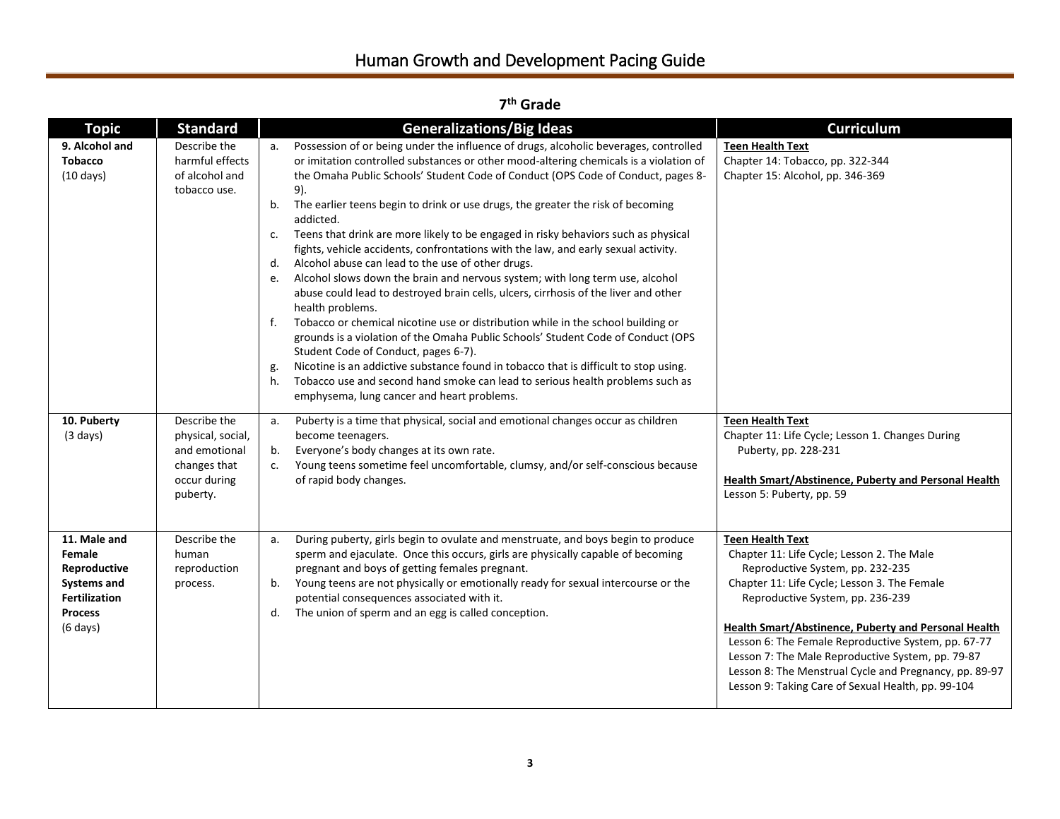| <b>Topic</b>                                                                                                                 | <b>Standard</b>                                                                                | <b>Generalizations/Big Ideas</b>                                                                                                                                                                                                                                                                                                                                                                                                                                                                                                                                                                                                                                                                                                                                                                                                                                                                                                                                                                                                                                                                                                                                                                                                                                                            | <b>Curriculum</b>                                                                                                                                                                                                                                                                                                                                                                                                                                                                 |
|------------------------------------------------------------------------------------------------------------------------------|------------------------------------------------------------------------------------------------|---------------------------------------------------------------------------------------------------------------------------------------------------------------------------------------------------------------------------------------------------------------------------------------------------------------------------------------------------------------------------------------------------------------------------------------------------------------------------------------------------------------------------------------------------------------------------------------------------------------------------------------------------------------------------------------------------------------------------------------------------------------------------------------------------------------------------------------------------------------------------------------------------------------------------------------------------------------------------------------------------------------------------------------------------------------------------------------------------------------------------------------------------------------------------------------------------------------------------------------------------------------------------------------------|-----------------------------------------------------------------------------------------------------------------------------------------------------------------------------------------------------------------------------------------------------------------------------------------------------------------------------------------------------------------------------------------------------------------------------------------------------------------------------------|
| 9. Alcohol and<br><b>Tobacco</b><br>$(10 \text{ days})$                                                                      | Describe the<br>harmful effects<br>of alcohol and<br>tobacco use.                              | Possession of or being under the influence of drugs, alcoholic beverages, controlled<br>a.<br>or imitation controlled substances or other mood-altering chemicals is a violation of<br>the Omaha Public Schools' Student Code of Conduct (OPS Code of Conduct, pages 8-<br>9).<br>The earlier teens begin to drink or use drugs, the greater the risk of becoming<br>b.<br>addicted.<br>Teens that drink are more likely to be engaged in risky behaviors such as physical<br>c.<br>fights, vehicle accidents, confrontations with the law, and early sexual activity.<br>Alcohol abuse can lead to the use of other drugs.<br>d.<br>Alcohol slows down the brain and nervous system; with long term use, alcohol<br>e.<br>abuse could lead to destroyed brain cells, ulcers, cirrhosis of the liver and other<br>health problems.<br>Tobacco or chemical nicotine use or distribution while in the school building or<br>f.<br>grounds is a violation of the Omaha Public Schools' Student Code of Conduct (OPS<br>Student Code of Conduct, pages 6-7).<br>Nicotine is an addictive substance found in tobacco that is difficult to stop using.<br>g.<br>Tobacco use and second hand smoke can lead to serious health problems such as<br>h.<br>emphysema, lung cancer and heart problems. | <b>Teen Health Text</b><br>Chapter 14: Tobacco, pp. 322-344<br>Chapter 15: Alcohol, pp. 346-369                                                                                                                                                                                                                                                                                                                                                                                   |
| 10. Puberty<br>$(3 \text{ days})$                                                                                            | Describe the<br>physical, social,<br>and emotional<br>changes that<br>occur during<br>puberty. | Puberty is a time that physical, social and emotional changes occur as children<br>а.<br>become teenagers.<br>Everyone's body changes at its own rate.<br>b.<br>Young teens sometime feel uncomfortable, clumsy, and/or self-conscious because<br>c.<br>of rapid body changes.                                                                                                                                                                                                                                                                                                                                                                                                                                                                                                                                                                                                                                                                                                                                                                                                                                                                                                                                                                                                              | <b>Teen Health Text</b><br>Chapter 11: Life Cycle; Lesson 1. Changes During<br>Puberty, pp. 228-231<br><b>Health Smart/Abstinence, Puberty and Personal Health</b><br>Lesson 5: Puberty, pp. 59                                                                                                                                                                                                                                                                                   |
| 11. Male and<br>Female<br>Reproductive<br><b>Systems and</b><br><b>Fertilization</b><br><b>Process</b><br>$(6 \text{ days})$ | Describe the<br>human<br>reproduction<br>process.                                              | During puberty, girls begin to ovulate and menstruate, and boys begin to produce<br>a.<br>sperm and ejaculate. Once this occurs, girls are physically capable of becoming<br>pregnant and boys of getting females pregnant.<br>Young teens are not physically or emotionally ready for sexual intercourse or the<br>b.<br>potential consequences associated with it.<br>The union of sperm and an egg is called conception.<br>d.                                                                                                                                                                                                                                                                                                                                                                                                                                                                                                                                                                                                                                                                                                                                                                                                                                                           | <b>Teen Health Text</b><br>Chapter 11: Life Cycle; Lesson 2. The Male<br>Reproductive System, pp. 232-235<br>Chapter 11: Life Cycle; Lesson 3. The Female<br>Reproductive System, pp. 236-239<br>Health Smart/Abstinence, Puberty and Personal Health<br>Lesson 6: The Female Reproductive System, pp. 67-77<br>Lesson 7: The Male Reproductive System, pp. 79-87<br>Lesson 8: The Menstrual Cycle and Pregnancy, pp. 89-97<br>Lesson 9: Taking Care of Sexual Health, pp. 99-104 |

**7 th Grade**